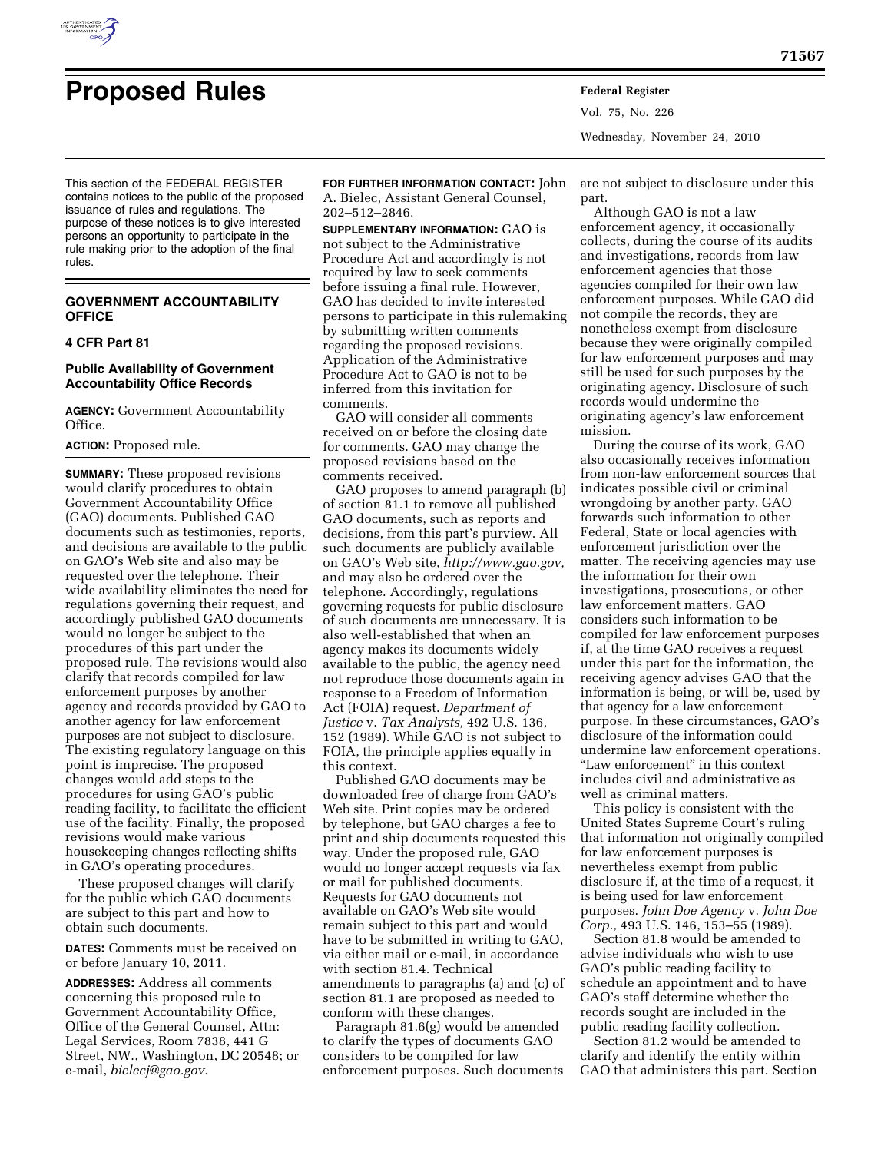

Vol. 75, No. 226 Wednesday, November 24, 2010

This section of the FEDERAL REGISTER contains notices to the public of the proposed issuance of rules and regulations. The purpose of these notices is to give interested persons an opportunity to participate in the rule making prior to the adoption of the final rules.

# **GOVERNMENT ACCOUNTABILITY OFFICE**

# **4 CFR Part 81**

# **Public Availability of Government Accountability Office Records**

**AGENCY:** Government Accountability Office.

### **ACTION:** Proposed rule.

**SUMMARY:** These proposed revisions would clarify procedures to obtain Government Accountability Office (GAO) documents. Published GAO documents such as testimonies, reports, and decisions are available to the public on GAO's Web site and also may be requested over the telephone. Their wide availability eliminates the need for regulations governing their request, and accordingly published GAO documents would no longer be subject to the procedures of this part under the proposed rule. The revisions would also clarify that records compiled for law enforcement purposes by another agency and records provided by GAO to another agency for law enforcement purposes are not subject to disclosure. The existing regulatory language on this point is imprecise. The proposed changes would add steps to the procedures for using GAO's public reading facility, to facilitate the efficient use of the facility. Finally, the proposed revisions would make various housekeeping changes reflecting shifts in GAO's operating procedures.

These proposed changes will clarify for the public which GAO documents are subject to this part and how to obtain such documents.

**DATES:** Comments must be received on or before January 10, 2011.

**ADDRESSES:** Address all comments concerning this proposed rule to Government Accountability Office, Office of the General Counsel, Attn: Legal Services, Room 7838, 441 G Street, NW., Washington, DC 20548; or e-mail, *[bielecj@gao.gov.](mailto:bielecj@gao.gov)* 

**FOR FURTHER INFORMATION CONTACT:** John A. Bielec, Assistant General Counsel, 202–512–2846.

**SUPPLEMENTARY INFORMATION:** GAO is not subject to the Administrative Procedure Act and accordingly is not required by law to seek comments before issuing a final rule. However, GAO has decided to invite interested persons to participate in this rulemaking by submitting written comments regarding the proposed revisions. Application of the Administrative Procedure Act to GAO is not to be inferred from this invitation for comments.

GAO will consider all comments received on or before the closing date for comments. GAO may change the proposed revisions based on the comments received.

GAO proposes to amend paragraph (b) of section 81.1 to remove all published GAO documents, such as reports and decisions, from this part's purview. All such documents are publicly available on GAO's Web site, *[http://www.gao.gov,](http://www.gao.gov)*  and may also be ordered over the telephone. Accordingly, regulations governing requests for public disclosure of such documents are unnecessary. It is also well-established that when an agency makes its documents widely available to the public, the agency need not reproduce those documents again in response to a Freedom of Information Act (FOIA) request. *Department of Justice* v. *Tax Analysts,* 492 U.S. 136, 152 (1989). While GAO is not subject to FOIA, the principle applies equally in this context.

Published GAO documents may be downloaded free of charge from GAO's Web site. Print copies may be ordered by telephone, but GAO charges a fee to print and ship documents requested this way. Under the proposed rule, GAO would no longer accept requests via fax or mail for published documents. Requests for GAO documents not available on GAO's Web site would remain subject to this part and would have to be submitted in writing to GAO, via either mail or e-mail, in accordance with section 81.4. Technical amendments to paragraphs (a) and (c) of section 81.1 are proposed as needed to conform with these changes.

Paragraph 81.6(g) would be amended to clarify the types of documents GAO considers to be compiled for law enforcement purposes. Such documents are not subject to disclosure under this part.

Although GAO is not a law enforcement agency, it occasionally collects, during the course of its audits and investigations, records from law enforcement agencies that those agencies compiled for their own law enforcement purposes. While GAO did not compile the records, they are nonetheless exempt from disclosure because they were originally compiled for law enforcement purposes and may still be used for such purposes by the originating agency. Disclosure of such records would undermine the originating agency's law enforcement mission.

During the course of its work, GAO also occasionally receives information from non-law enforcement sources that indicates possible civil or criminal wrongdoing by another party. GAO forwards such information to other Federal, State or local agencies with enforcement jurisdiction over the matter. The receiving agencies may use the information for their own investigations, prosecutions, or other law enforcement matters. GAO considers such information to be compiled for law enforcement purposes if, at the time GAO receives a request under this part for the information, the receiving agency advises GAO that the information is being, or will be, used by that agency for a law enforcement purpose. In these circumstances, GAO's disclosure of the information could undermine law enforcement operations. ''Law enforcement'' in this context includes civil and administrative as well as criminal matters.

This policy is consistent with the United States Supreme Court's ruling that information not originally compiled for law enforcement purposes is nevertheless exempt from public disclosure if, at the time of a request, it is being used for law enforcement purposes. *John Doe Agency* v. *John Doe Corp.,* 493 U.S. 146, 153–55 (1989).

Section 81.8 would be amended to advise individuals who wish to use GAO's public reading facility to schedule an appointment and to have GAO's staff determine whether the records sought are included in the public reading facility collection.

Section 81.2 would be amended to clarify and identify the entity within GAO that administers this part. Section